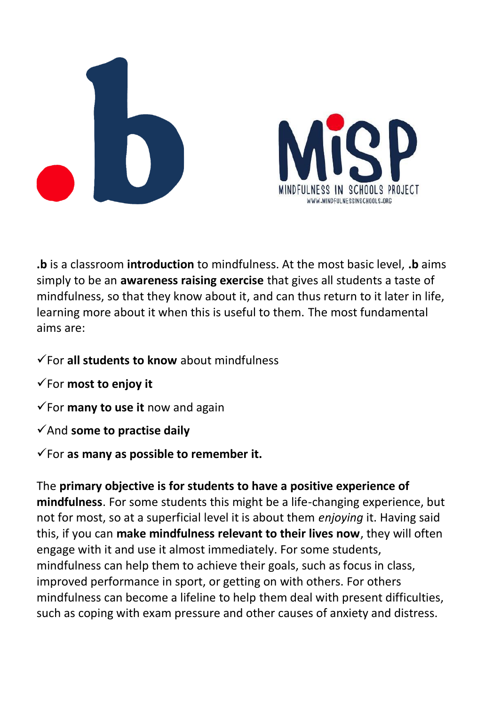



**.b** is a classroom **introduction** to mindfulness. At the most basic level, **.b** aims simply to be an **awareness raising exercise** that gives all students a taste of mindfulness, so that they know about it, and can thus return to it later in life, learning more about it when this is useful to them. The most fundamental aims are:

- ✓For **all students to know** about mindfulness
- ✓For **most to enjoy it**
- ✓For **many to use it** now and again
- ✓And **some to practise daily**

✓For **as many as possible to remember it.**

The **primary objective is for students to have a positive experience of mindfulness**. For some students this might be a life-changing experience, but not for most, so at a superficial level it is about them *enjoying* it. Having said this, if you can **make mindfulness relevant to their lives now**, they will often engage with it and use it almost immediately. For some students, mindfulness can help them to achieve their goals, such as focus in class, improved performance in sport, or getting on with others. For others mindfulness can become a lifeline to help them deal with present difficulties, such as coping with exam pressure and other causes of anxiety and distress.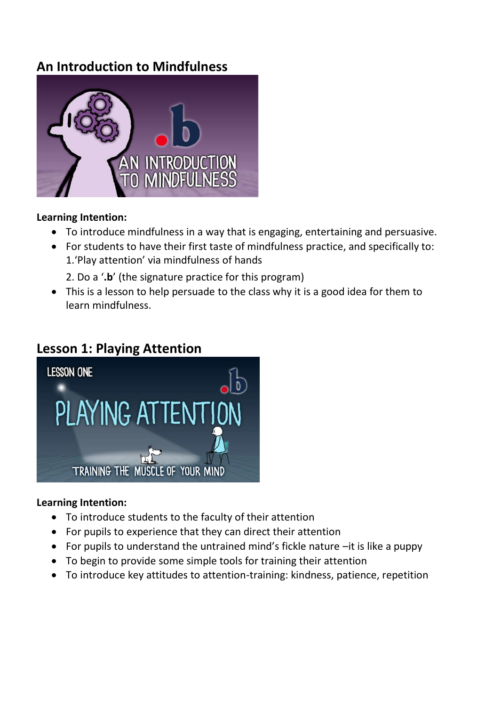# **An Introduction to Mindfulness**



#### **Learning Intention:**

- To introduce mindfulness in a way that is engaging, entertaining and persuasive.
- For students to have their first taste of mindfulness practice, and specifically to: 1.'Play attention' via mindfulness of hands

2. Do a '**.b**' (the signature practice for this program)

• This is a lesson to help persuade to the class why it is a good idea for them to learn mindfulness.

### **Lesson 1: Playing Attention**



### **Learning Intention:**

- To introduce students to the faculty of their attention
- For pupils to experience that they can direct their attention
- For pupils to understand the untrained mind's fickle nature –it is like a puppy
- To begin to provide some simple tools for training their attention
- To introduce key attitudes to attention-training: kindness, patience, repetition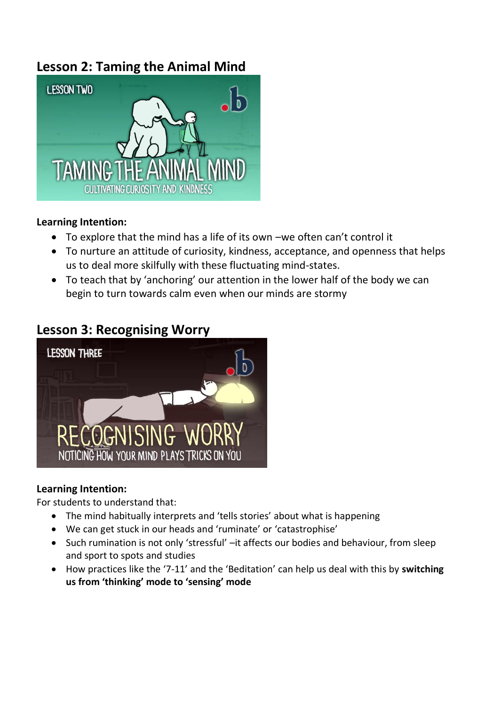# **Lesson 2: Taming the Animal Mind**



#### **Learning Intention:**

- To explore that the mind has a life of its own –we often can't control it
- To nurture an attitude of curiosity, kindness, acceptance, and openness that helps us to deal more skilfully with these fluctuating mind-states.
- To teach that by 'anchoring' our attention in the lower half of the body we can begin to turn towards calm even when our minds are stormy

### **Lesson 3: Recognising Worry**



### **Learning Intention:**

For students to understand that:

- The mind habitually interprets and 'tells stories' about what is happening
- We can get stuck in our heads and 'ruminate' or 'catastrophise'
- Such rumination is not only 'stressful' –it affects our bodies and behaviour, from sleep and sport to spots and studies
- How practices like the '7-11' and the 'Beditation' can help us deal with this by **switching us from 'thinking' mode to 'sensing' mode**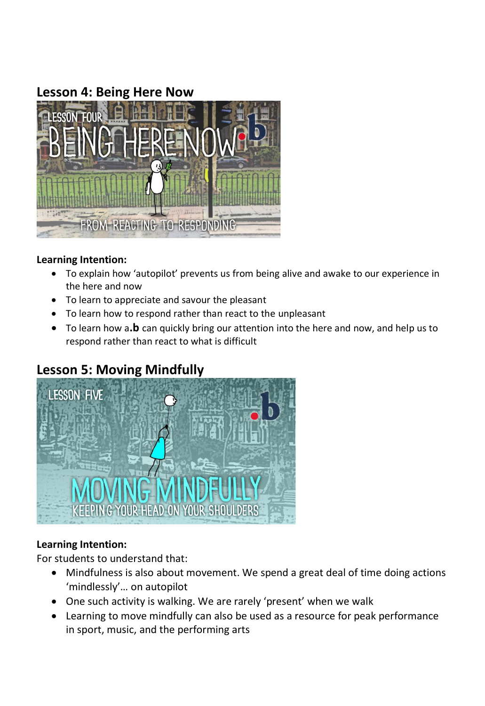# **Lesson 4: Being Here Now**



#### **Learning Intention:**

- To explain how 'autopilot' prevents us from being alive and awake to our experience in the here and now
- To learn to appreciate and savour the pleasant
- To learn how to respond rather than react to the unpleasant
- To learn how a**.b** can quickly bring our attention into the here and now, and help us to respond rather than react to what is difficult

# **Lesson 5: Moving Mindfully**



### **Learning Intention:**

For students to understand that:

- Mindfulness is also about movement. We spend a great deal of time doing actions 'mindlessly'… on autopilot
- One such activity is walking. We are rarely 'present' when we walk
- Learning to move mindfully can also be used as a resource for peak performance in sport, music, and the performing arts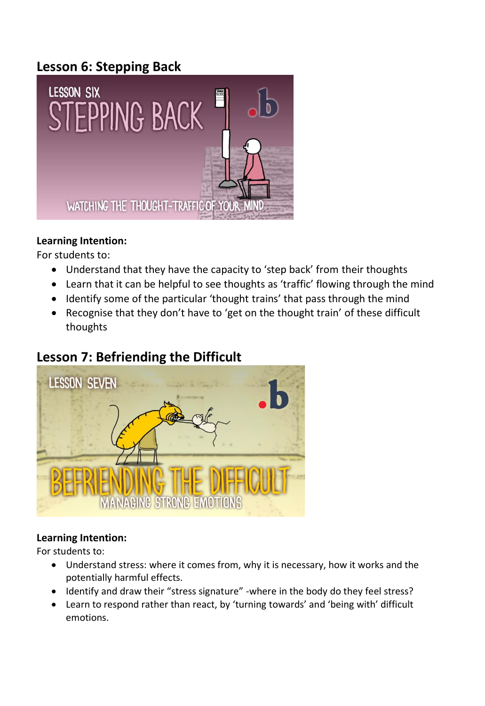# **Lesson 6: Stepping Back**



### **Learning Intention:**

For students to:

- Understand that they have the capacity to 'step back' from their thoughts
- Learn that it can be helpful to see thoughts as 'traffic' flowing through the mind
- Identify some of the particular 'thought trains' that pass through the mind
- Recognise that they don't have to 'get on the thought train' of these difficult thoughts

# **Lesson 7: Befriending the Difficult**



### **Learning Intention:**

For students to:

- Understand stress: where it comes from, why it is necessary, how it works and the potentially harmful effects.
- Identify and draw their "stress signature" -where in the body do they feel stress?
- Learn to respond rather than react, by 'turning towards' and 'being with' difficult emotions.